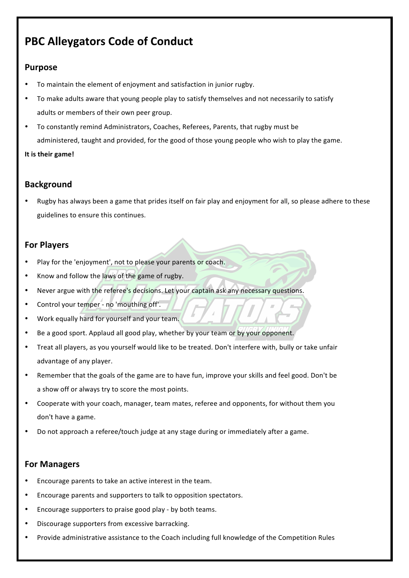# **PBC Alleygators Code of Conduct**

# **Purpose**

- To maintain the element of enjoyment and satisfaction in junior rugby.
- To make adults aware that young people play to satisfy themselves and not necessarily to satisfy adults or members of their own peer group.
- To constantly remind Administrators, Coaches, Referees, Parents, that rugby must be administered, taught and provided, for the good of those young people who wish to play the game.

#### **It is their game!**

# **Background**

Rugby has always been a game that prides itself on fair play and enjoyment for all, so please adhere to these guidelines to ensure this continues.

# **For Players**

- Play for the 'enjoyment', not to please your parents or coach.
- Know and follow the laws of the game of rugby.
- Never argue with the referee's decisions. Let your captain ask any necessary questions.
- Control your temper no 'mouthing off'.
- Work equally hard for yourself and your team.
- Be a good sport. Applaud all good play, whether by your team or by your opponent.
- Treat all players, as you yourself would like to be treated. Don't interfere with, bully or take unfair advantage of any player.
- Remember that the goals of the game are to have fun, improve your skills and feel good. Don't be a show off or always try to score the most points.
- Cooperate with your coach, manager, team mates, referee and opponents, for without them you don't have a game.
- Do not approach a referee/touch judge at any stage during or immediately after a game.

# **For Managers**

- Encourage parents to take an active interest in the team.
- Encourage parents and supporters to talk to opposition spectators.
- Encourage supporters to praise good play by both teams.
- Discourage supporters from excessive barracking.
- Provide administrative assistance to the Coach including full knowledge of the Competition Rules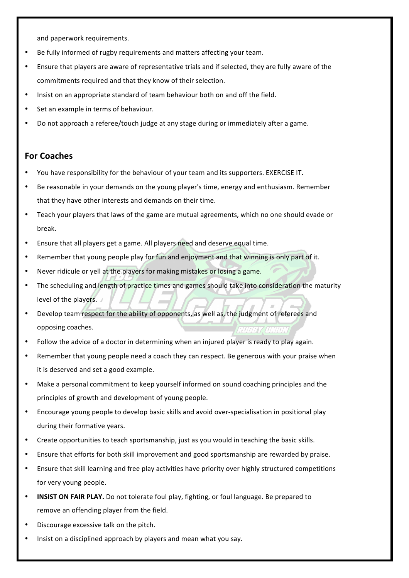and paperwork requirements.

- Be fully informed of rugby requirements and matters affecting your team.
- Ensure that players are aware of representative trials and if selected, they are fully aware of the commitments required and that they know of their selection.
- Insist on an appropriate standard of team behaviour both on and off the field.
- Set an example in terms of behaviour.
- Do not approach a referee/touch judge at any stage during or immediately after a game.

#### **For Coaches**

- You have responsibility for the behaviour of your team and its supporters. EXERCISE IT.
- Be reasonable in your demands on the young player's time, energy and enthusiasm. Remember that they have other interests and demands on their time.
- Teach your players that laws of the game are mutual agreements, which no one should evade or break.
- Ensure that all players get a game. All players need and deserve equal time.
- Remember that young people play for fun and enjoyment and that winning is only part of it.
- Never ridicule or yell at the players for making mistakes or losing a game.
- The scheduling and length of practice times and games should take into consideration the maturity level of the players.
- Develop team respect for the ability of opponents, as well as, the judgment of referees and opposing coaches. 2116377 111.710.4
- Follow the advice of a doctor in determining when an injured player is ready to play again.
- Remember that young people need a coach they can respect. Be generous with your praise when it is deserved and set a good example.
- Make a personal commitment to keep yourself informed on sound coaching principles and the principles of growth and development of young people.
- Encourage young people to develop basic skills and avoid over-specialisation in positional play during their formative years.
- Create opportunities to teach sportsmanship, just as you would in teaching the basic skills.
- Ensure that efforts for both skill improvement and good sportsmanship are rewarded by praise.
- Ensure that skill learning and free play activities have priority over highly structured competitions for very young people.
- **INSIST ON FAIR PLAY.** Do not tolerate foul play, fighting, or foul language. Be prepared to remove an offending player from the field.
- Discourage excessive talk on the pitch.
- Insist on a disciplined approach by players and mean what you say.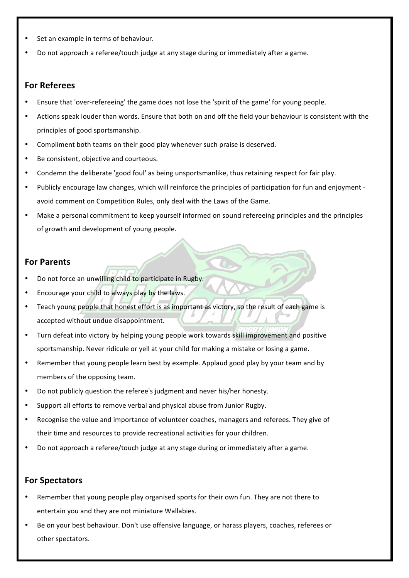- Set an example in terms of behaviour.
- Do not approach a referee/touch judge at any stage during or immediately after a game.

#### **For Referees**

- Ensure that 'over-refereeing' the game does not lose the 'spirit of the game' for young people.
- Actions speak louder than words. Ensure that both on and off the field your behaviour is consistent with the principles of good sportsmanship.
- Compliment both teams on their good play whenever such praise is deserved.
- Be consistent, objective and courteous.
- Condemn the deliberate 'good foul' as being unsportsmanlike, thus retaining respect for fair play.
- Publicly encourage law changes, which will reinforce the principles of participation for fun and enjoyment avoid comment on Competition Rules, only deal with the Laws of the Game.
- Make a personal commitment to keep yourself informed on sound refereeing principles and the principles of growth and development of young people.

#### **For Parents**

- Do not force an unwilling child to participate in Rugby.
- Encourage your child to always play by the laws.
- Teach young people that honest effort is as important as victory, so the result of each game is accepted without undue disappointment.
- Turn defeat into victory by helping young people work towards skill improvement and positive sportsmanship. Never ridicule or yell at your child for making a mistake or losing a game.
- Remember that young people learn best by example. Applaud good play by your team and by members of the opposing team.
- Do not publicly question the referee's judgment and never his/her honesty.
- Support all efforts to remove verbal and physical abuse from Junior Rugby.
- Recognise the value and importance of volunteer coaches, managers and referees. They give of their time and resources to provide recreational activities for your children.
- Do not approach a referee/touch judge at any stage during or immediately after a game.

#### **For Spectators**

- Remember that young people play organised sports for their own fun. They are not there to entertain you and they are not miniature Wallabies.
- Be on your best behaviour. Don't use offensive language, or harass players, coaches, referees or other spectators.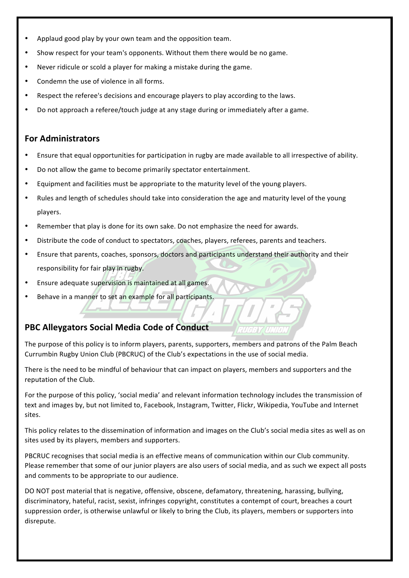- Applaud good play by your own team and the opposition team.
- Show respect for your team's opponents. Without them there would be no game.
- Never ridicule or scold a player for making a mistake during the game.
- Condemn the use of violence in all forms.
- Respect the referee's decisions and encourage players to play according to the laws.
- Do not approach a referee/touch judge at any stage during or immediately after a game.

### **For Administrators**

- Ensure that equal opportunities for participation in rugby are made available to all irrespective of ability.
- Do not allow the game to become primarily spectator entertainment.
- Equipment and facilities must be appropriate to the maturity level of the young players.
- Rules and length of schedules should take into consideration the age and maturity level of the young players.
- Remember that play is done for its own sake. Do not emphasize the need for awards.
- Distribute the code of conduct to spectators, coaches, players, referees, parents and teachers.
- Ensure that parents, coaches, sponsors, doctors and participants understand their authority and their responsibility for fair play in rugby.
- Ensure adequate supervision is maintained at all games.
- Behave in a manner to set an example for all participants.

# **PBC Alleygators Social Media Code of Conduct**

The purpose of this policy is to inform players, parents, supporters, members and patrons of the Palm Beach Currumbin Rugby Union Club (PBCRUC) of the Club's expectations in the use of social media.

7073Y UNO

There is the need to be mindful of behaviour that can impact on players, members and supporters and the reputation of the Club.

For the purpose of this policy, 'social media' and relevant information technology includes the transmission of text and images by, but not limited to, Facebook, Instagram, Twitter, Flickr, Wikipedia, YouTube and Internet sites. 

This policy relates to the dissemination of information and images on the Club's social media sites as well as on sites used by its players, members and supporters.

PBCRUC recognises that social media is an effective means of communication within our Club community. Please remember that some of our junior players are also users of social media, and as such we expect all posts and comments to be appropriate to our audience.

DO NOT post material that is negative, offensive, obscene, defamatory, threatening, harassing, bullying, discriminatory, hateful, racist, sexist, infringes copyright, constitutes a contempt of court, breaches a court suppression order, is otherwise unlawful or likely to bring the Club, its players, members or supporters into disrepute.